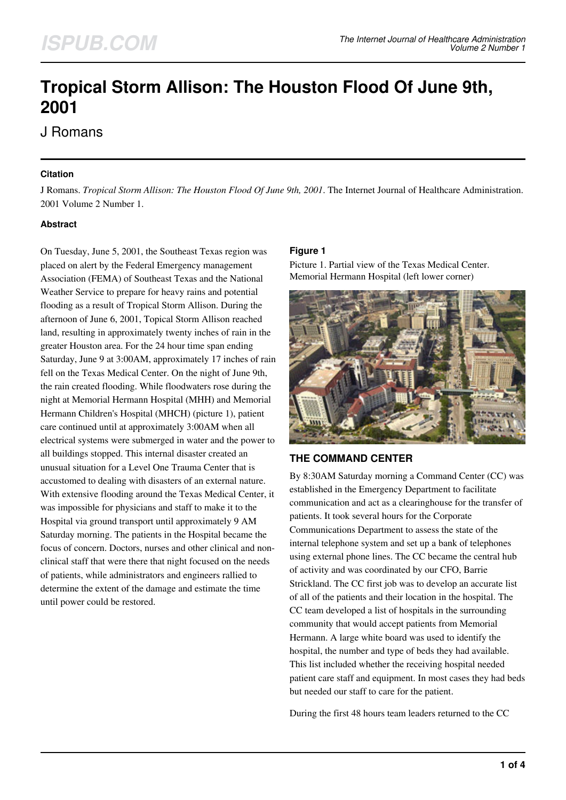# **Tropical Storm Allison: The Houston Flood Of June 9th, 2001**

# J Romans

### **Citation**

J Romans. *Tropical Storm Allison: The Houston Flood Of June 9th, 2001*. The Internet Journal of Healthcare Administration. 2001 Volume 2 Number 1.

### **Abstract**

On Tuesday, June 5, 2001, the Southeast Texas region was placed on alert by the Federal Emergency management Association (FEMA) of Southeast Texas and the National Weather Service to prepare for heavy rains and potential flooding as a result of Tropical Storm Allison. During the afternoon of June 6, 2001, Topical Storm Allison reached land, resulting in approximately twenty inches of rain in the greater Houston area. For the 24 hour time span ending Saturday, June 9 at 3:00AM, approximately 17 inches of rain fell on the Texas Medical Center. On the night of June 9th, the rain created flooding. While floodwaters rose during the night at Memorial Hermann Hospital (MHH) and Memorial Hermann Children's Hospital (MHCH) (picture 1), patient care continued until at approximately 3:00AM when all electrical systems were submerged in water and the power to all buildings stopped. This internal disaster created an unusual situation for a Level One Trauma Center that is accustomed to dealing with disasters of an external nature. With extensive flooding around the Texas Medical Center, it was impossible for physicians and staff to make it to the Hospital via ground transport until approximately 9 AM Saturday morning. The patients in the Hospital became the focus of concern. Doctors, nurses and other clinical and nonclinical staff that were there that night focused on the needs of patients, while administrators and engineers rallied to determine the extent of the damage and estimate the time until power could be restored.

### **Figure 1**

Picture 1. Partial view of the Texas Medical Center. Memorial Hermann Hospital (left lower corner)



# **THE COMMAND CENTER**

By 8:30AM Saturday morning a Command Center (CC) was established in the Emergency Department to facilitate communication and act as a clearinghouse for the transfer of patients. It took several hours for the Corporate Communications Department to assess the state of the internal telephone system and set up a bank of telephones using external phone lines. The CC became the central hub of activity and was coordinated by our CFO, Barrie Strickland. The CC first job was to develop an accurate list of all of the patients and their location in the hospital. The CC team developed a list of hospitals in the surrounding community that would accept patients from Memorial Hermann. A large white board was used to identify the hospital, the number and type of beds they had available. This list included whether the receiving hospital needed patient care staff and equipment. In most cases they had beds but needed our staff to care for the patient.

During the first 48 hours team leaders returned to the CC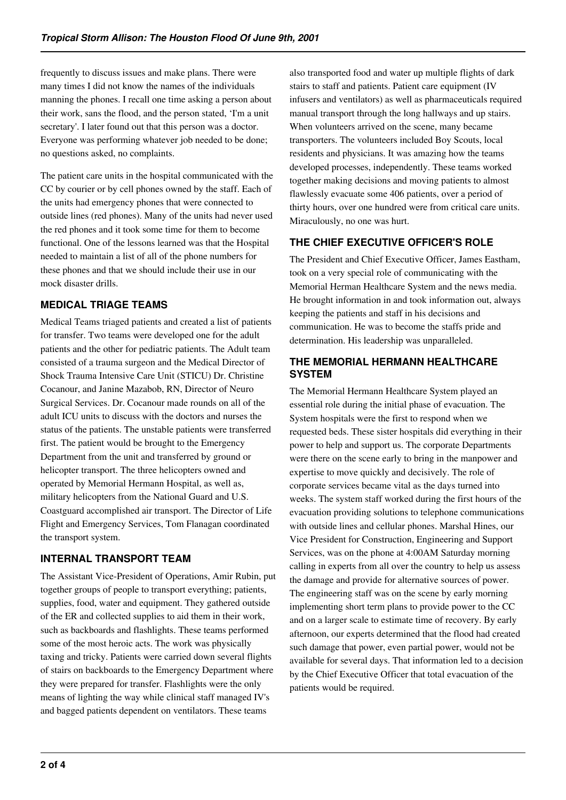frequently to discuss issues and make plans. There were many times I did not know the names of the individuals manning the phones. I recall one time asking a person about their work, sans the flood, and the person stated, 'I'm a unit secretary'. I later found out that this person was a doctor. Everyone was performing whatever job needed to be done; no questions asked, no complaints.

The patient care units in the hospital communicated with the CC by courier or by cell phones owned by the staff. Each of the units had emergency phones that were connected to outside lines (red phones). Many of the units had never used the red phones and it took some time for them to become functional. One of the lessons learned was that the Hospital needed to maintain a list of all of the phone numbers for these phones and that we should include their use in our mock disaster drills.

# **MEDICAL TRIAGE TEAMS**

Medical Teams triaged patients and created a list of patients for transfer. Two teams were developed one for the adult patients and the other for pediatric patients. The Adult team consisted of a trauma surgeon and the Medical Director of Shock Trauma Intensive Care Unit (STICU) Dr. Christine Cocanour, and Janine Mazabob, RN, Director of Neuro Surgical Services. Dr. Cocanour made rounds on all of the adult ICU units to discuss with the doctors and nurses the status of the patients. The unstable patients were transferred first. The patient would be brought to the Emergency Department from the unit and transferred by ground or helicopter transport. The three helicopters owned and operated by Memorial Hermann Hospital, as well as, military helicopters from the National Guard and U.S. Coastguard accomplished air transport. The Director of Life Flight and Emergency Services, Tom Flanagan coordinated the transport system.

# **INTERNAL TRANSPORT TEAM**

The Assistant Vice-President of Operations, Amir Rubin, put together groups of people to transport everything; patients, supplies, food, water and equipment. They gathered outside of the ER and collected supplies to aid them in their work, such as backboards and flashlights. These teams performed some of the most heroic acts. The work was physically taxing and tricky. Patients were carried down several flights of stairs on backboards to the Emergency Department where they were prepared for transfer. Flashlights were the only means of lighting the way while clinical staff managed IV's and bagged patients dependent on ventilators. These teams

also transported food and water up multiple flights of dark stairs to staff and patients. Patient care equipment (IV infusers and ventilators) as well as pharmaceuticals required manual transport through the long hallways and up stairs. When volunteers arrived on the scene, many became transporters. The volunteers included Boy Scouts, local residents and physicians. It was amazing how the teams developed processes, independently. These teams worked together making decisions and moving patients to almost flawlessly evacuate some 406 patients, over a period of thirty hours, over one hundred were from critical care units. Miraculously, no one was hurt.

# **THE CHIEF EXECUTIVE OFFICER'S ROLE**

The President and Chief Executive Officer, James Eastham, took on a very special role of communicating with the Memorial Herman Healthcare System and the news media. He brought information in and took information out, always keeping the patients and staff in his decisions and communication. He was to become the staffs pride and determination. His leadership was unparalleled.

### **THE MEMORIAL HERMANN HEALTHCARE SYSTEM**

The Memorial Hermann Healthcare System played an essential role during the initial phase of evacuation. The System hospitals were the first to respond when we requested beds. These sister hospitals did everything in their power to help and support us. The corporate Departments were there on the scene early to bring in the manpower and expertise to move quickly and decisively. The role of corporate services became vital as the days turned into weeks. The system staff worked during the first hours of the evacuation providing solutions to telephone communications with outside lines and cellular phones. Marshal Hines, our Vice President for Construction, Engineering and Support Services, was on the phone at 4:00AM Saturday morning calling in experts from all over the country to help us assess the damage and provide for alternative sources of power. The engineering staff was on the scene by early morning implementing short term plans to provide power to the CC and on a larger scale to estimate time of recovery. By early afternoon, our experts determined that the flood had created such damage that power, even partial power, would not be available for several days. That information led to a decision by the Chief Executive Officer that total evacuation of the patients would be required.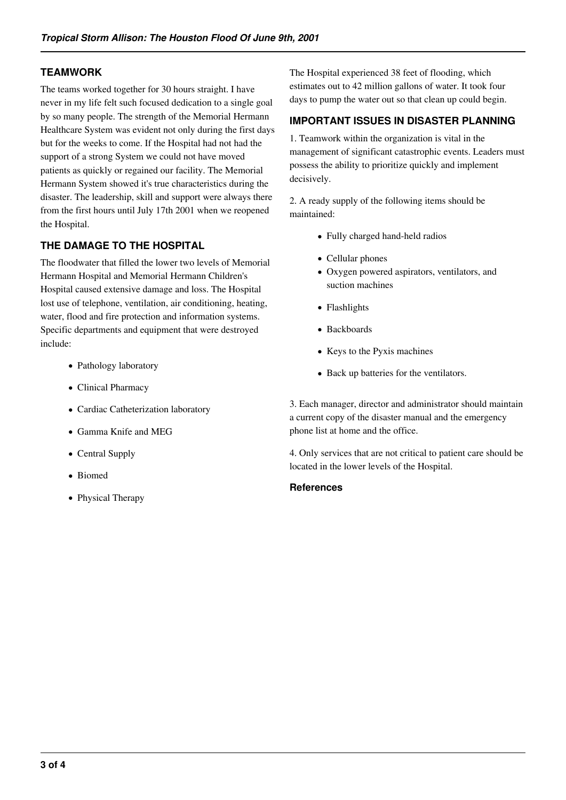### **TEAMWORK**

The teams worked together for 30 hours straight. I have never in my life felt such focused dedication to a single goal by so many people. The strength of the Memorial Hermann Healthcare System was evident not only during the first days but for the weeks to come. If the Hospital had not had the support of a strong System we could not have moved patients as quickly or regained our facility. The Memorial Hermann System showed it's true characteristics during the disaster. The leadership, skill and support were always there from the first hours until July 17th 2001 when we reopened the Hospital.

# **THE DAMAGE TO THE HOSPITAL**

The floodwater that filled the lower two levels of Memorial Hermann Hospital and Memorial Hermann Children's Hospital caused extensive damage and loss. The Hospital lost use of telephone, ventilation, air conditioning, heating, water, flood and fire protection and information systems. Specific departments and equipment that were destroyed include:

- Pathology laboratory
- Clinical Pharmacy
- Cardiac Catheterization laboratory
- Gamma Knife and MEG
- Central Supply
- Biomed
- Physical Therapy

The Hospital experienced 38 feet of flooding, which estimates out to 42 million gallons of water. It took four days to pump the water out so that clean up could begin.

### **IMPORTANT ISSUES IN DISASTER PLANNING**

1. Teamwork within the organization is vital in the management of significant catastrophic events. Leaders must possess the ability to prioritize quickly and implement decisively.

2. A ready supply of the following items should be maintained:

- Fully charged hand-held radios
- Cellular phones
- Oxygen powered aspirators, ventilators, and suction machines
- Flashlights
- Backboards
- Keys to the Pyxis machines
- Back up batteries for the ventilators.

3. Each manager, director and administrator should maintain a current copy of the disaster manual and the emergency phone list at home and the office.

4. Only services that are not critical to patient care should be located in the lower levels of the Hospital.

#### **References**